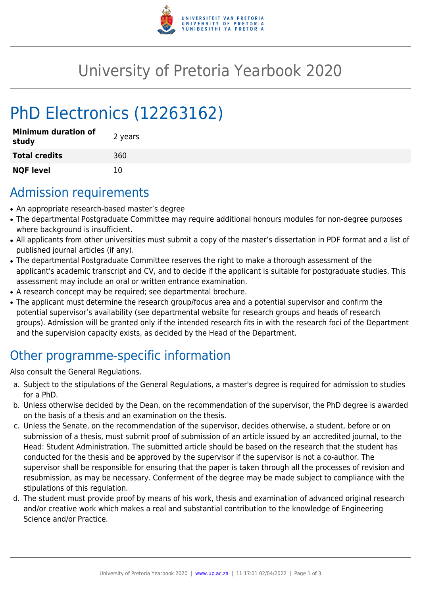

## University of Pretoria Yearbook 2020

# PhD Electronics (12263162)

| <b>Minimum duration of</b><br>study | 2 years |
|-------------------------------------|---------|
| <b>Total credits</b>                | 360     |
| <b>NQF level</b>                    | 10      |

## Admission requirements

- An appropriate research-based master's degree
- The departmental Postgraduate Committee may require additional honours modules for non-degree purposes where background is insufficient.
- All applicants from other universities must submit a copy of the master's dissertation in PDF format and a list of published journal articles (if any).
- The departmental Postgraduate Committee reserves the right to make a thorough assessment of the applicant's academic transcript and CV, and to decide if the applicant is suitable for postgraduate studies. This assessment may include an oral or written entrance examination.
- A research concept may be required; see departmental brochure.
- The applicant must determine the research group/focus area and a potential supervisor and confirm the potential supervisor's availability (see departmental website for research groups and heads of research groups). Admission will be granted only if the intended research fits in with the research foci of the Department and the supervision capacity exists, as decided by the Head of the Department.

## Other programme-specific information

Also consult the General Regulations.

- a. Subject to the stipulations of the General Regulations, a master's degree is required for admission to studies for a PhD.
- b. Unless otherwise decided by the Dean, on the recommendation of the supervisor, the PhD degree is awarded on the basis of a thesis and an examination on the thesis.
- c. Unless the Senate, on the recommendation of the supervisor, decides otherwise, a student, before or on submission of a thesis, must submit proof of submission of an article issued by an accredited journal, to the Head: Student Administration. The submitted article should be based on the research that the student has conducted for the thesis and be approved by the supervisor if the supervisor is not a co-author. The supervisor shall be responsible for ensuring that the paper is taken through all the processes of revision and resubmission, as may be necessary. Conferment of the degree may be made subject to compliance with the stipulations of this regulation.
- d. The student must provide proof by means of his work, thesis and examination of advanced original research and/or creative work which makes a real and substantial contribution to the knowledge of Engineering Science and/or Practice.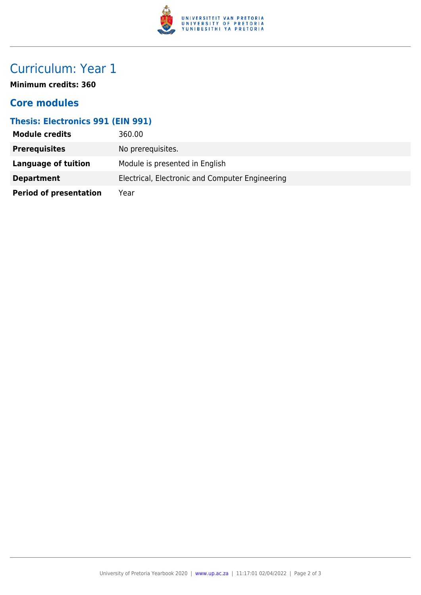

## Curriculum: Year 1

**Minimum credits: 360**

#### **Core modules**

#### **Thesis: Electronics 991 (EIN 991)**

| <b>Module credits</b>         | 360.00                                          |
|-------------------------------|-------------------------------------------------|
| <b>Prerequisites</b>          | No prerequisites.                               |
| Language of tuition           | Module is presented in English                  |
| <b>Department</b>             | Electrical, Electronic and Computer Engineering |
| <b>Period of presentation</b> | Year                                            |